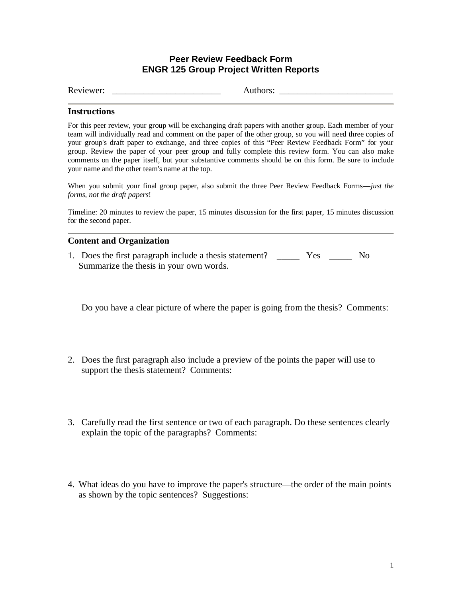## **Peer Review Feedback Form ENGR 125 Group Project Written Reports**

Reviewer: \_\_\_\_\_\_\_\_\_\_\_\_\_\_\_\_\_\_\_\_\_\_\_\_ Authors: \_\_\_\_\_\_\_\_\_\_\_\_\_\_\_\_\_\_\_\_\_\_\_\_\_

## **Instructions**

For this peer review, your group will be exchanging draft papers with another group. Each member of your team will individually read and comment on the paper of the other group, so you will need three copies of your group's draft paper to exchange, and three copies of this "Peer Review Feedback Form" for your group. Review the paper of your peer group and fully complete this review form. You can also make comments on the paper itself, but your substantive comments should be on this form. Be sure to include your name and the other team's name at the top.

When you submit your final group paper, also submit the three Peer Review Feedback Forms—*just the forms, not the draft papers*!

Timeline: 20 minutes to review the paper, 15 minutes discussion for the first paper, 15 minutes discussion for the second paper.

## **Content and Organization**

1. Does the first paragraph include a thesis statement? \_\_\_\_\_\_ Yes \_\_\_\_\_ No Summarize the thesis in your own words.

Do you have a clear picture of where the paper is going from the thesis? Comments:

- 2. Does the first paragraph also include a preview of the points the paper will use to support the thesis statement? Comments:
- 3. Carefully read the first sentence or two of each paragraph. Do these sentences clearly explain the topic of the paragraphs? Comments:
- 4. What ideas do you have to improve the paper's structure— the order of the main points as shown by the topic sentences? Suggestions: